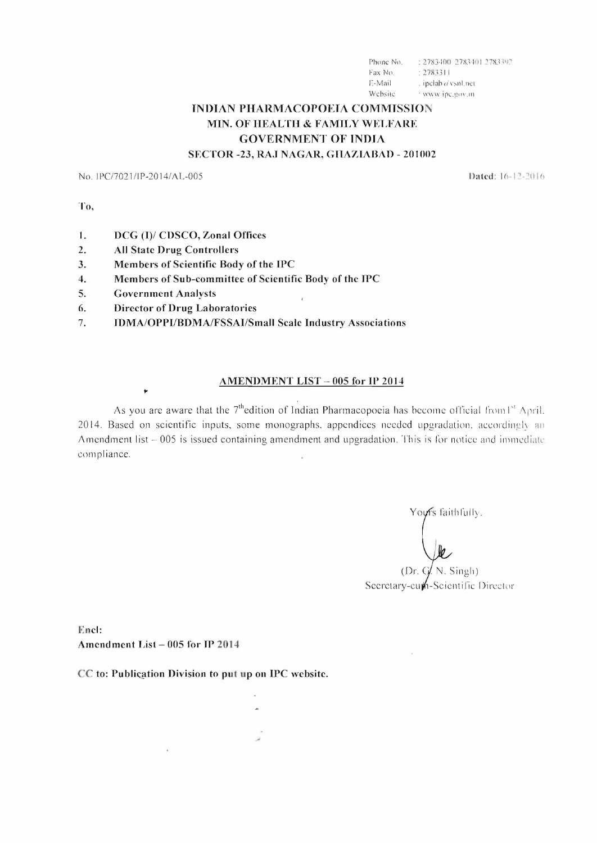: 2783400 2783401 2783392 Phone No. Fax No.  $: 2783311$ E-Mail . ipclab a'vsnl.net Website 7 www.ipc.gov.m

### **INDIAN PHARMACOPOEIA COMMISSION** MIN. OF HEALTH & FAMILY WELFARE **GOVERNMENT OF INDIA** SECTOR -23, RAJ NAGAR, GHAZIABAD - 201002

No. IPC/7021/IP-2014/AL-005

Dated: 16-12-2016

To,

- DCG (I)/ CDSCO, Zonal Offices  $\mathbf{1}$ .
- $2.$ **All State Drug Controllers**
- Members of Scientific Body of the IPC  $3.$
- Members of Sub-committee of Scientific Body of the IPC  $\overline{4}$ .
- 5. **Government Analysts**

٠

- **Director of Drug Laboratories** 6.
- **IDMA/OPPI/BDMA/FSSAI/Small Scale Industry Associations** 7.

#### AMENDMENT LIST - 005 for IP 2014

As you are aware that the  $7<sup>th</sup>$ edition of Indian Pharmacopoeia has become official from  $1<sup>st</sup>$  April. 2014. Based on scientific inputs, some monographs, appendices needed upgradation, accordingly an Amendment list - 005 is issued containing amendment and upgradation. This is for notice and immediate compliance.

Yours faithfully. (Dr.  $G/N$ . Singh)

Secretary-cum-Scientific Director

Encl: Amendment List - 005 for IP 2014

CC to: Publication Division to put up on IPC website.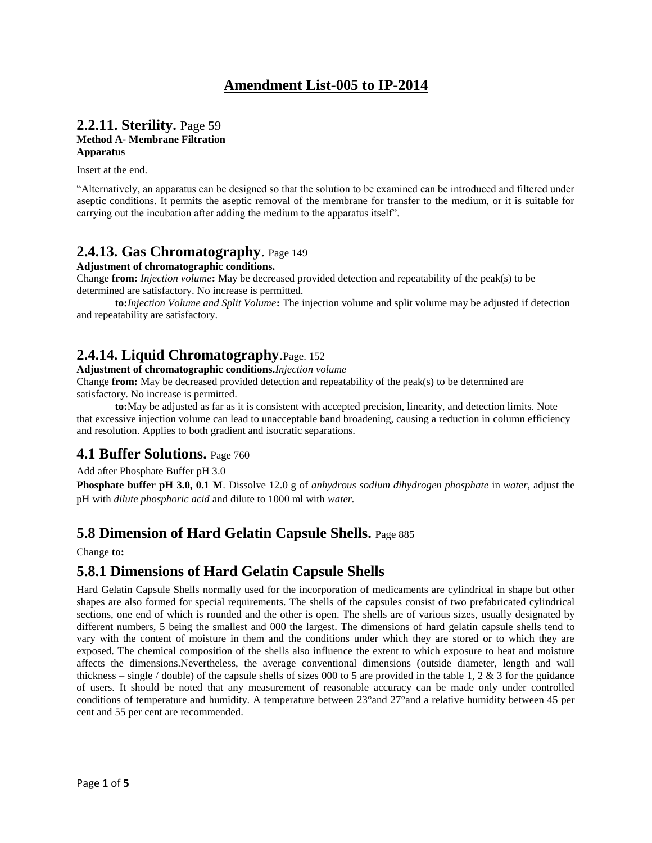# **Amendment List-005 to IP-2014**

#### **2.2.11. Sterility.** Page 59 **Method A- Membrane Filtration Apparatus**

Insert at the end.

"Alternatively, an apparatus can be designed so that the solution to be examined can be introduced and filtered under aseptic conditions. It permits the aseptic removal of the membrane for transfer to the medium, or it is suitable for carrying out the incubation after adding the medium to the apparatus itself".

#### **2.4.13. Gas Chromatography**. Page 149

**Adjustment of chromatographic conditions.**

Change **from:** *Injection volume***:** May be decreased provided detection and repeatability of the peak(s) to be determined are satisfactory. No increase is permitted.

**to:***Injection Volume and Split Volume***:** The injection volume and split volume may be adjusted if detection and repeatability are satisfactory.

# **2.4.14. Liquid Chromatography**.Page. 152

**Adjustment of chromatographic conditions.***Injection volume*

Change **from:** May be decreased provided detection and repeatability of the peak(s) to be determined are satisfactory. No increase is permitted.

**to:**May be adjusted as far as it is consistent with accepted precision, linearity, and detection limits. Note that excessive injection volume can lead to unacceptable band broadening, causing a reduction in column efficiency and resolution. Applies to both gradient and isocratic separations.

#### **4.1 Buffer Solutions.** Page 760

Add after Phosphate Buffer pH 3.0

**Phosphate buffer pH 3.0, 0.1 M***.* Dissolve 12.0 g of *anhydrous sodium dihydrogen phosphate* in *water*, adjust the pH with *dilute phosphoric acid* and dilute to 1000 ml with *water.*

### **5.8 Dimension of Hard Gelatin Capsule Shells.** Page 885

Change **to:**

# **5.8.1 Dimensions of Hard Gelatin Capsule Shells**

Hard Gelatin Capsule Shells normally used for the incorporation of medicaments are cylindrical in shape but other shapes are also formed for special requirements. The shells of the capsules consist of two prefabricated cylindrical sections, one end of which is rounded and the other is open. The shells are of various sizes, usually designated by different numbers, 5 being the smallest and 000 the largest. The dimensions of hard gelatin capsule shells tend to vary with the content of moisture in them and the conditions under which they are stored or to which they are exposed. The chemical composition of the shells also influence the extent to which exposure to heat and moisture affects the dimensions.Nevertheless, the average conventional dimensions (outside diameter, length and wall thickness – single / double) of the capsule shells of sizes 000 to 5 are provided in the table 1, 2  $\&$  3 for the guidance of users. It should be noted that any measurement of reasonable accuracy can be made only under controlled conditions of temperature and humidity. A temperature between 23°and 27°and a relative humidity between 45 per cent and 55 per cent are recommended.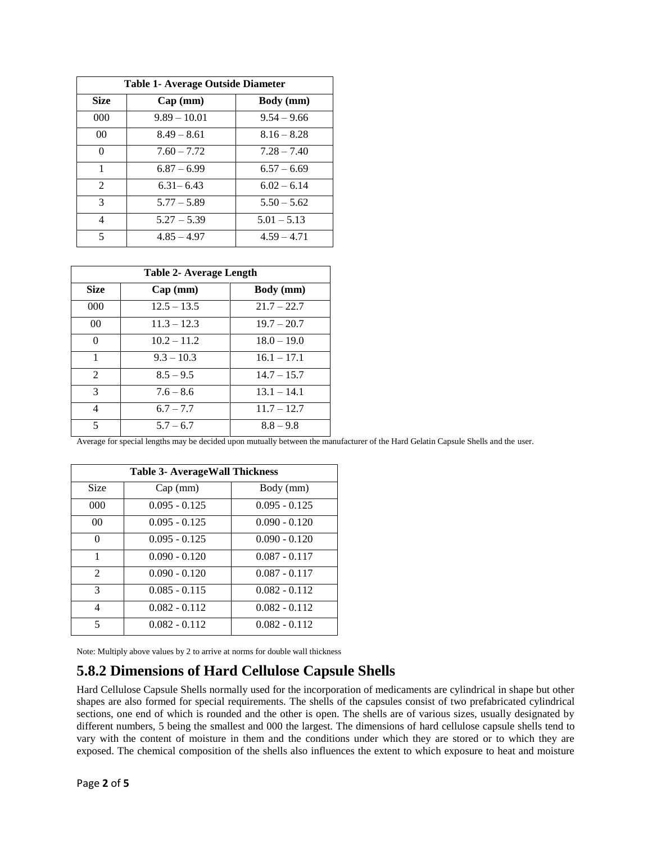| Table 1- Average Outside Diameter |                |               |
|-----------------------------------|----------------|---------------|
| Size                              | Cap(mm)        | Body (mm)     |
| 000                               | $9.89 - 10.01$ | $9.54 - 9.66$ |
| 0 <sup>0</sup>                    | $8.49 - 8.61$  | $8.16 - 8.28$ |
| 0                                 | $7.60 - 7.72$  | $7.28 - 7.40$ |
| 1                                 | $6.87 - 6.99$  | $6.57 - 6.69$ |
| $\mathcal{L}$                     | $6.31 - 6.43$  | $6.02 - 6.14$ |
| 3                                 | $5.77 - 5.89$  | $5.50 - 5.62$ |
| 4                                 | $5.27 - 5.39$  | $5.01 - 5.13$ |
| 5                                 | $4.85 - 4.97$  | $4.59 - 4.71$ |

| Table 2- Average Length |               |                  |
|-------------------------|---------------|------------------|
| <b>Size</b>             | Cap(mm)       | <b>Body</b> (mm) |
| 000                     | $12.5 - 13.5$ | $21.7 - 22.7$    |
| 0 <sup>0</sup>          | $11.3 - 12.3$ | $19.7 - 20.7$    |
| 0                       | $10.2 - 11.2$ | $18.0 - 19.0$    |
| 1                       | $9.3 - 10.3$  | $16.1 - 17.1$    |
| $\mathfrak{D}$          | $8.5 - 9.5$   | $14.7 - 15.7$    |
| $\mathcal{R}$           | $7.6 - 8.6$   | $13.1 - 14.1$    |
| 4                       | $6.7 - 7.7$   | $11.7 - 12.7$    |
| 5                       | $5.7 - 6.7$   | $8.8 - 9.8$      |

Average for special lengths may be decided upon mutually between the manufacturer of the Hard Gelatin Capsule Shells and the user.

| <b>Table 3- AverageWall Thickness</b> |                 |                 |
|---------------------------------------|-----------------|-----------------|
| <b>Size</b>                           | Cap(mm)         | Body (mm)       |
| 000                                   | $0.095 - 0.125$ | $0.095 - 0.125$ |
| 0 <sup>0</sup>                        | $0.095 - 0.125$ | $0.090 - 0.120$ |
| 0                                     | $0.095 - 0.125$ | $0.090 - 0.120$ |
| 1                                     | $0.090 - 0.120$ | $0.087 - 0.117$ |
| $\mathcal{D}_{\mathcal{L}}$           | $0.090 - 0.120$ | $0.087 - 0.117$ |
| $\mathcal{R}$                         | $0.085 - 0.115$ | $0.082 - 0.112$ |
| 4                                     | $0.082 - 0.112$ | $0.082 - 0.112$ |
| $\overline{\phantom{0}}$              | $0.082 - 0.112$ | $0.082 - 0.112$ |

Note: Multiply above values by 2 to arrive at norms for double wall thickness

# **5.8.2 Dimensions of Hard Cellulose Capsule Shells**

Hard Cellulose Capsule Shells normally used for the incorporation of medicaments are cylindrical in shape but other shapes are also formed for special requirements. The shells of the capsules consist of two prefabricated cylindrical sections, one end of which is rounded and the other is open. The shells are of various sizes, usually designated by different numbers, 5 being the smallest and 000 the largest. The dimensions of hard cellulose capsule shells tend to vary with the content of moisture in them and the conditions under which they are stored or to which they are exposed. The chemical composition of the shells also influences the extent to which exposure to heat and moisture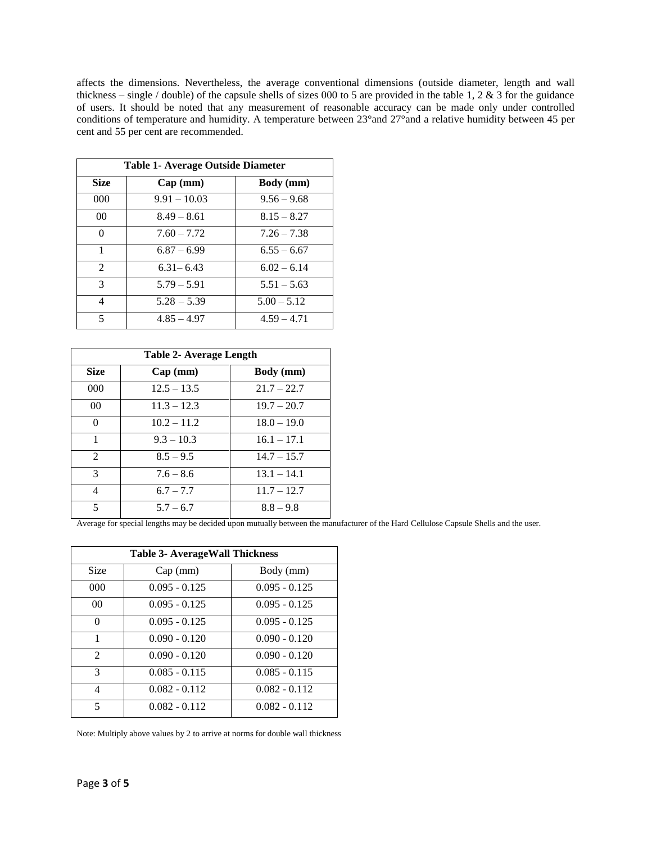affects the dimensions. Nevertheless, the average conventional dimensions (outside diameter, length and wall thickness – single / double) of the capsule shells of sizes 000 to 5 are provided in the table 1, 2 & 3 for the guidance of users. It should be noted that any measurement of reasonable accuracy can be made only under controlled conditions of temperature and humidity. A temperature between 23°and 27°and a relative humidity between 45 per cent and 55 per cent are recommended.

| Table 1- Average Outside Diameter |                |               |
|-----------------------------------|----------------|---------------|
| <b>Size</b>                       | Cap(mm)        | Body (mm)     |
| 000                               | $9.91 - 10.03$ | $9.56 - 9.68$ |
| 00 <sup>0</sup>                   | $8.49 - 8.61$  | $8.15 - 8.27$ |
| 0                                 | $7.60 - 7.72$  | $7.26 - 7.38$ |
| 1                                 | $6.87 - 6.99$  | $6.55 - 6.67$ |
| $\mathfrak{D}$                    | $6.31 - 6.43$  | $6.02 - 6.14$ |
| $\mathcal{R}$                     | $5.79 - 5.91$  | $5.51 - 5.63$ |
| 4                                 | $5.28 - 5.39$  | $5.00 - 5.12$ |
| $\overline{\mathcal{L}}$          | $4.85 - 4.97$  | $4.59 - 4.71$ |

| Table 2- Average Length     |               |                  |
|-----------------------------|---------------|------------------|
| <b>Size</b>                 | Cap(mm)       | <b>Body</b> (mm) |
| 000                         | $12.5 - 13.5$ | $21.7 - 22.7$    |
| 00 <sup>°</sup>             | $11.3 - 12.3$ | $19.7 - 20.7$    |
| 0                           | $10.2 - 11.2$ | $18.0 - 19.0$    |
| 1                           | $9.3 - 10.3$  | $16.1 - 17.1$    |
| $\mathcal{D}_{\mathcal{L}}$ | $8.5 - 9.5$   | $14.7 - 15.7$    |
| $\mathcal{R}$               | $7.6 - 8.6$   | $13.1 - 14.1$    |
| 4                           | $6.7 - 7.7$   | $11.7 - 12.7$    |
| 5                           | $5.7 - 6.7$   | $8.8 - 9.8$      |

Average for special lengths may be decided upon mutually between the manufacturer of the Hard Cellulose Capsule Shells and the user.

| <b>Table 3- AverageWall Thickness</b> |                 |                 |
|---------------------------------------|-----------------|-----------------|
| <b>Size</b>                           | Cap(mm)         | Body (mm)       |
| 000                                   | $0.095 - 0.125$ | $0.095 - 0.125$ |
| 00 <sup>2</sup>                       | $0.095 - 0.125$ | $0.095 - 0.125$ |
| $\Omega$                              | $0.095 - 0.125$ | $0.095 - 0.125$ |
| 1                                     | $0.090 - 0.120$ | $0.090 - 0.120$ |
| $\mathfrak{D}$                        | $0.090 - 0.120$ | $0.090 - 0.120$ |
| 3                                     | $0.085 - 0.115$ | $0.085 - 0.115$ |
| 4                                     | $0.082 - 0.112$ | $0.082 - 0.112$ |
| 5                                     | $0.082 - 0.112$ | $0.082 - 0.112$ |

Note: Multiply above values by 2 to arrive at norms for double wall thickness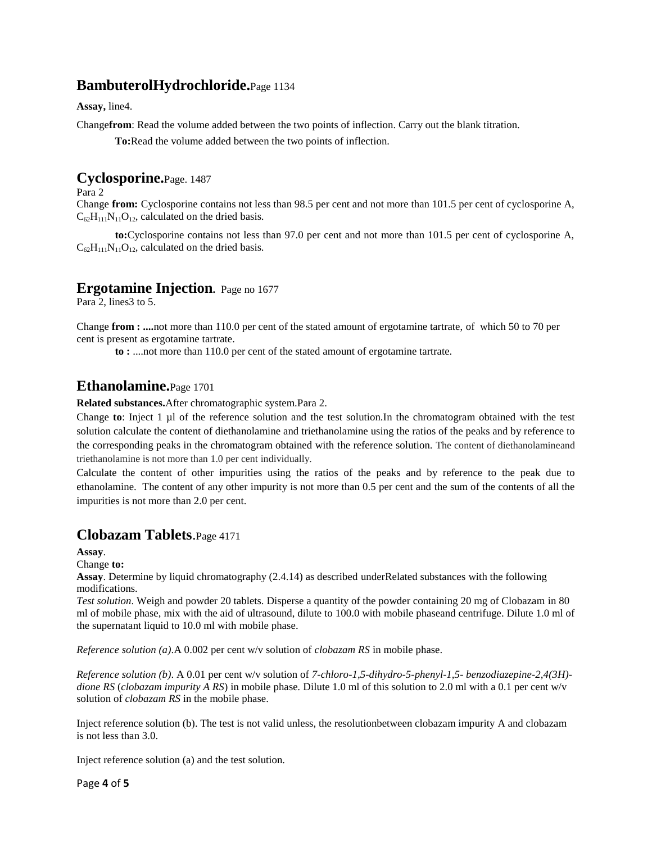## **BambuterolHydrochloride.**Page 1134

**Assay,** line4.

Change**from**: Read the volume added between the two points of inflection. Carry out the blank titration.

**To:**Read the volume added between the two points of inflection.

#### **Cyclosporine.**Page. 1487

Para 2

Change **from:** Cyclosporine contains not less than 98.5 per cent and not more than 101.5 per cent of cyclosporine A,  $C_{62}H_{111}N_{11}O_{12}$ , calculated on the dried basis.

**to:**Cyclosporine contains not less than 97.0 per cent and not more than 101.5 per cent of cyclosporine A,  $C_6 H_{111}N_{11}O_{12}$ , calculated on the dried basis.

#### **Ergotamine Injection.** Page no 1677

Para 2, lines 3 to 5.

Change **from : ....**not more than 110.0 per cent of the stated amount of ergotamine tartrate, of which 50 to 70 per cent is present as ergotamine tartrate.

**to :** ....not more than 110.0 per cent of the stated amount of ergotamine tartrate.

#### **Ethanolamine.**Page 1701

**Related substances.**After chromatographic system.Para 2.

Change **to**: Inject 1 µl of the reference solution and the test solution.In the chromatogram obtained with the test solution calculate the content of diethanolamine and triethanolamine using the ratios of the peaks and by reference to the corresponding peaks in the chromatogram obtained with the reference solution. The content of diethanolamineand triethanolamine is not more than 1.0 per cent individually.

Calculate the content of other impurities using the ratios of the peaks and by reference to the peak due to ethanolamine. The content of any other impurity is not more than 0.5 per cent and the sum of the contents of all the impurities is not more than 2.0 per cent.

# **Clobazam Tablets**.Page 4171

**Assay**.

Change **to:**

**Assay**. Determine by liquid chromatography (2.4.14) as described underRelated substances with the following modifications.

*Test solution*. Weigh and powder 20 tablets. Disperse a quantity of the powder containing 20 mg of Clobazam in 80 ml of mobile phase, mix with the aid of ultrasound, dilute to 100.0 with mobile phaseand centrifuge. Dilute 1.0 ml of the supernatant liquid to 10.0 ml with mobile phase.

*Reference solution (a)*.A 0.002 per cent w/v solution of *clobazam RS* in mobile phase.

*Reference solution (b)*. A 0.01 per cent w/v solution of *7-chloro-1,5-dihydro-5-phenyl-1,5- benzodiazepine-2,4(3H) dione RS* (*clobazam impurity A RS*) in mobile phase*.* Dilute 1.0 ml of this solution to 2.0 ml with a 0.1 per cent w/v solution of *clobazam RS* in the mobile phase.

Inject reference solution (b). The test is not valid unless, the resolutionbetween clobazam impurity A and clobazam is not less than 3.0.

Inject reference solution (a) and the test solution.